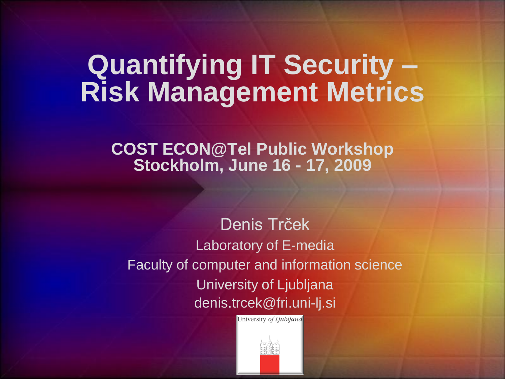#### **Quantifying IT Security – Risk Management Metrics**

**COST ECON@Tel Public Workshop Stockholm, June 16 - 17, 2009**

Denis Trček Laboratory of E-media Faculty of computer and information science University of Ljubljana denis.trcek@fri.uni-lj.si

University of Ljubljand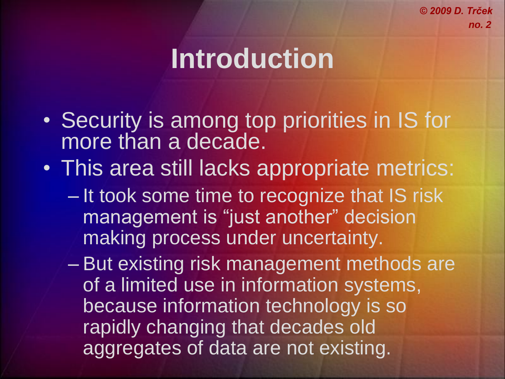# **Introduction**

- Security is among top priorities in IS for more than a decade.
- This area still lacks appropriate metrics:
	- It took some time to recognize that IS risk management is "just another" decision making process under uncertainty.
	- But existing risk management methods are of a limited use in information systems, because information technology is so rapidly changing that decades old aggregates of data are not existing.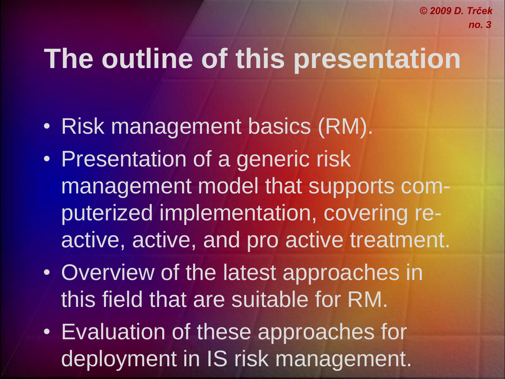# **The outline of this presentation**

- Risk management basics (RM).
- Presentation of a generic risk management model that supports computerized implementation, covering reactive, active, and pro active treatment.
- Overview of the latest approaches in this field that are suitable for RM.
- Evaluation of these approaches for deployment in IS risk management.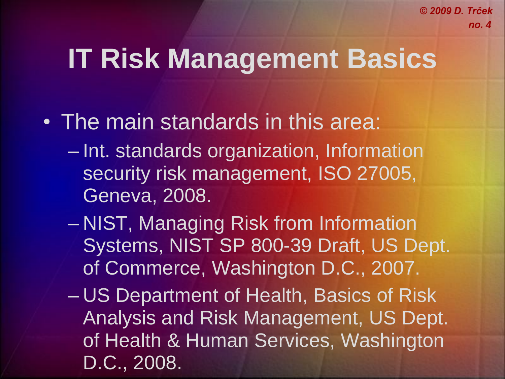# **IT Risk Management Basics**

- The main standards in this area:
	- Int. standards organization, Information security risk management, ISO 27005, Geneva, 2008.
	- NIST, Managing Risk from Information Systems, NIST SP 800-39 Draft, US Dept. of Commerce, Washington D.C., 2007.
	- US Department of Health, Basics of Risk Analysis and Risk Management, US Dept. of Health & Human Services, Washington D.C., 2008.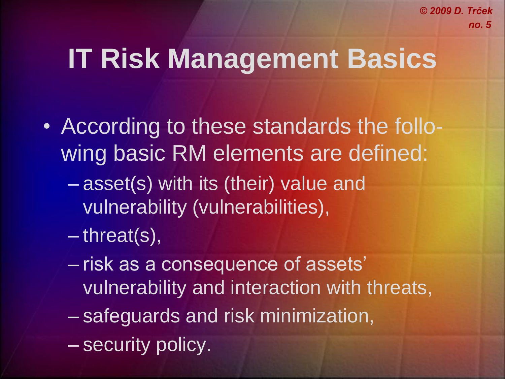# **IT Risk Management Basics**

- According to these standards the following basic RM elements are defined:
	- asset(s) with its (their) value and vulnerability (vulnerabilities),
	- threat(s),
	- risk as a consequence of assets' vulnerability and interaction with threats,
	- safeguards and risk minimization,
	- security policy.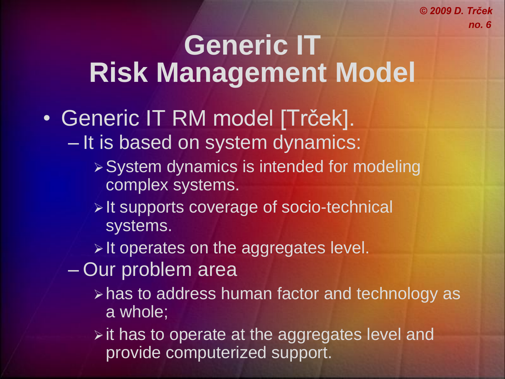### **Generic IT Risk Management Model**

- Generic IT RM model [Trček]. – It is based on system dynamics:
	- System dynamics is intended for modeling complex systems.
	- **Example 15 Yearth Supports coverage of socio-technical** systems.
	- $\triangleright$  It operates on the aggregates level.
	- Our problem area
		- has to address human factor and technology as a whole;
		- $\triangleright$  it has to operate at the aggregates level and provide computerized support.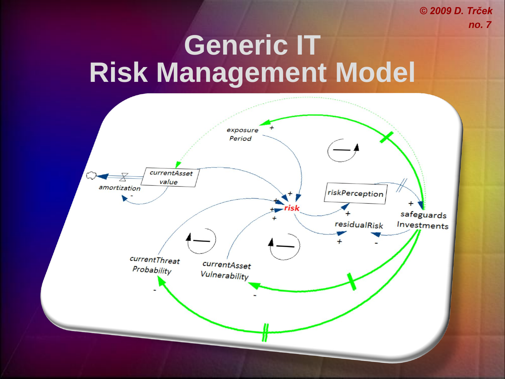### **Generic IT Risk Management Model**

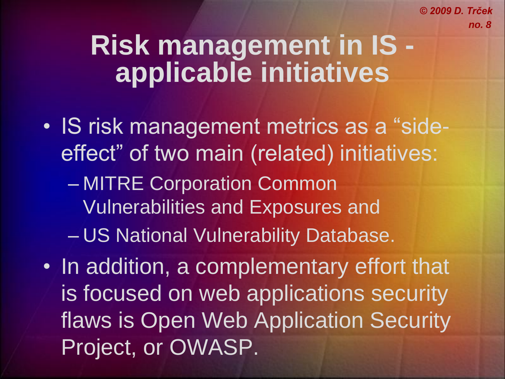- IS risk management metrics as a "sideeffect" of two main (related) initiatives: – MITRE Corporation Common Vulnerabilities and Exposures and – US National Vulnerability Database.
- In addition, a complementary effort that is focused on web applications security flaws is Open Web Application Security Project, or OWASP.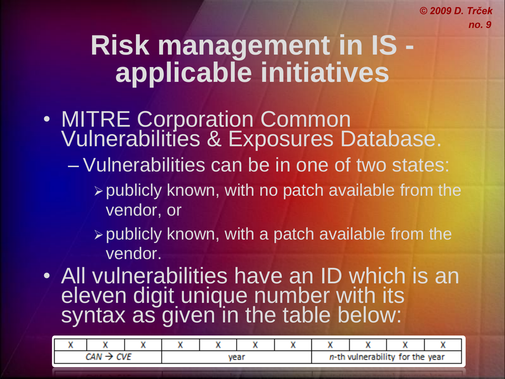- MITRE Corporation Common Vulnerabilities & Exposures Database.
	- Vulnerabilities can be in one of two states:
		- $\triangleright$  publicly known, with no patch available from the vendor, or
		- $\triangleright$  publicly known, with a patch available from the vendor.
- All vulnerabilities have an ID which is an eleven digit unique number with its syntax as given in the table below:

|  |  |  | <b><i>CONTRACTOR</i></b><br>. |  |  |  | <b><i><u>PERSONAL PROPERTY</u></i></b><br>for the year.<br>n th vu<br>49.EU -<br>. |  |  |  |
|--|--|--|-------------------------------|--|--|--|------------------------------------------------------------------------------------|--|--|--|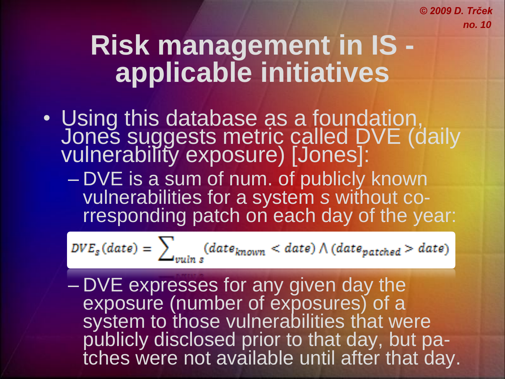# **Risk management in IS applicable initiatives**

• Using this database as a foundation, Jones suggests metric called DVE (daily vulnerability exposure) [Jones]:

– DVE is a sum of num. of publicly known vulnerabilities for a system *s* without corresponding patch on each day of the year:

$$
DVE_s(data) = \sum_{vulin s} (date_{known} < date) \land (date_{patched} > date)
$$

– DVE expresses for any given day the exposure (number of exposures) of a system to those vulnerabilities that were publicly disclosed prior to that day, but patches were not available until after that day.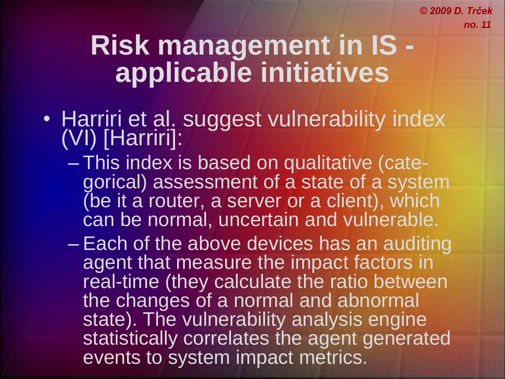- Harriri et al. suggest vulnerability index (VI) [Harriri]:
	- This index is based on qualitative (categorical) assessment of a state of a system (be it a router, a server or a client), which can be normal, uncertain and vulnerable.
	- Each of the above devices has an auditing agent that measure the impact factors in real-time (they calculate the ratio between the changes of a normal and abnormal state). The vulnerability analysis engine statistically correlates the agent generated events to system impact metrics.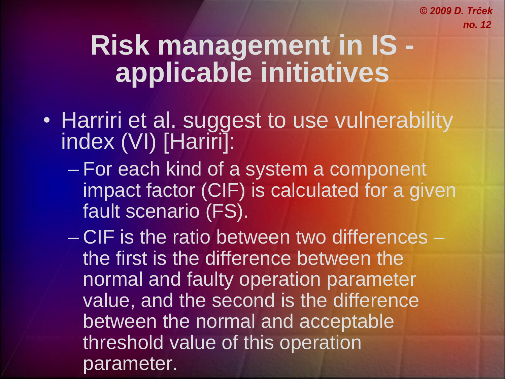- Harriri et al. suggest to use vulnerability index (VI) [Hariri]:
	- For each kind of a system a component impact factor (CIF) is calculated for a given fault scenario (FS).
	- CIF is the ratio between two differences the first is the difference between the normal and faulty operation parameter value, and the second is the difference between the normal and acceptable threshold value of this operation parameter.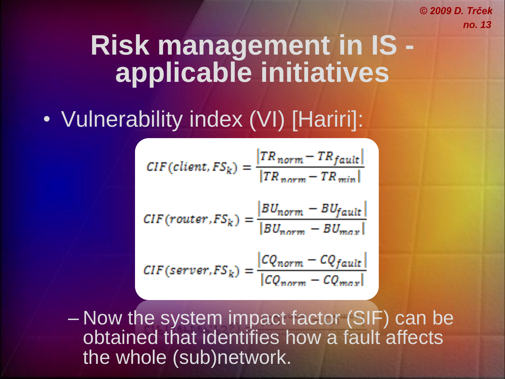### **Risk management in IS applicable initiatives**

#### • Vulnerability index (VI) [Hariri]:

$$
CIF(client, FS_k) = \frac{|TR_{norm} - TR_{fault}}{|TR_{norm} - TR_{min}|}
$$

$$
CIF( router, FS_k) = \frac{|BU_{norm} - BU_{fault}|}{|BU_{norm} - BU_{max}|}
$$

$$
CIF(server, FS_k) = \frac{|CQ_{norm} - CQ_{fault}|}{|CQ_{norm} - CQ_{max}|}
$$

– Now the system impact factor (SIF) can be obtained that identifies how a fault affects the whole (sub)network.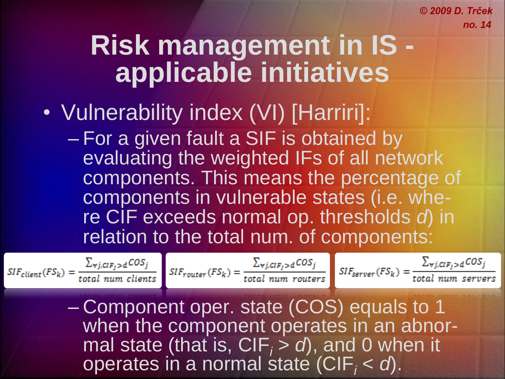#### **Risk management in IS applicable initiatives**

- Vulnerability index (VI) [Harriri]:
	- For a given fault a SIF is obtained by evaluating the weighted IFs of all network components. This means the percentage of components in vulnerable states (i.e. where CIF exceeds normal op. thresholds *d*) in relation to the total num. of components:

– Component oper. state (COS) equals to 1 when the component operates in an abnormal state (that is,  $CIF_i > d$ ), and 0 when it operates in a normal state (CIF*<sup>i</sup>* < *d*).

 $SIF_{client}(FS_k) = \frac{\sum_{\forall j,clip_j \ge d} COS_j}{total num clients}$   $SIF_{counter}(FS_k) = \frac{\sum_{\forall j,clip_j \ge d} COS_j}{total num routers}$   $SIF_{server}(FS_k) = \frac{\sum_{\forall j,clip_j \ge d} COS_j}{total num servers}$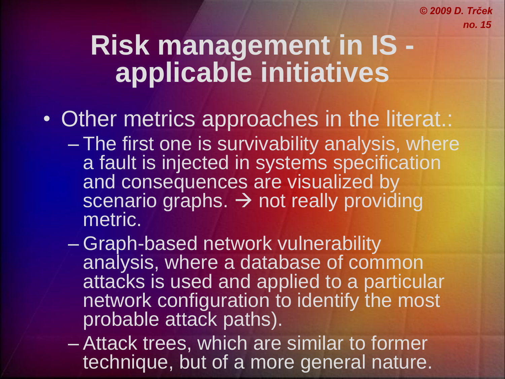- Other metrics approaches in the literat.:
	- The first one is survivability analysis, where a fault is injected in systems specification and consequences are visualized by scenario graphs.  $\rightarrow$  not really providing metric.
	- Graph-based network vulnerability analysis, where a database of common attacks is used and applied to a particular network configuration to identify the most probable attack paths).
	- Attack trees, which are similar to former technique, but of a more general nature.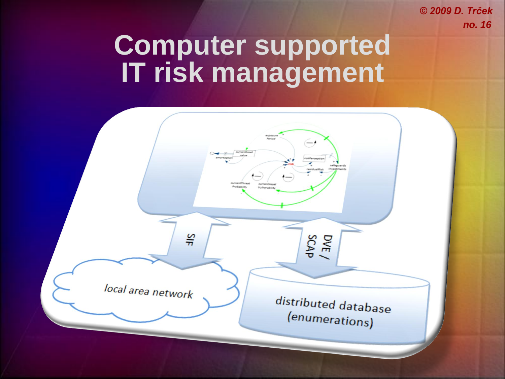#### **Computer supported IT risk management**

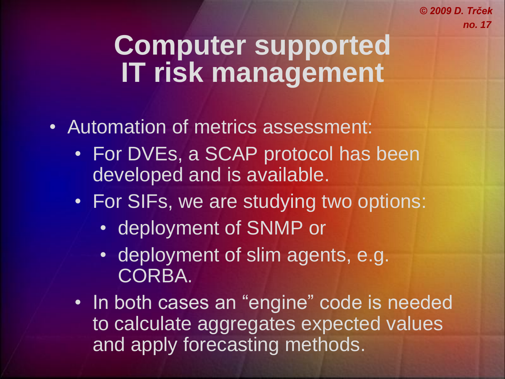#### **Computer supported IT risk management**

- Automation of metrics assessment:
	- For DVEs, a SCAP protocol has been developed and is available.
	- For SIFs, we are studying two options:
		- deployment of SNMP or
		- deployment of slim agents, e.g. CORBA.
	- In both cases an "engine" code is needed to calculate aggregates expected values and apply forecasting methods.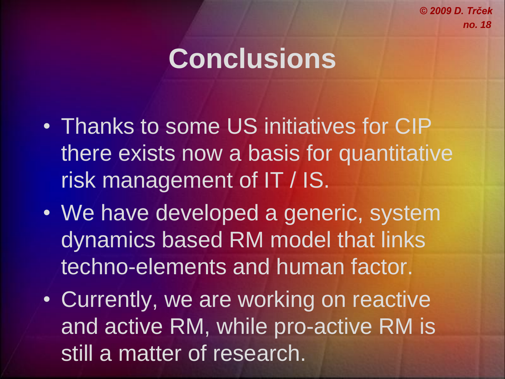# **Conclusions**

- Thanks to some US initiatives for CIP there exists now a basis for quantitative risk management of IT / IS.
- We have developed a generic, system dynamics based RM model that links techno-elements and human factor.
- Currently, we are working on reactive and active RM, while pro-active RM is still a matter of research.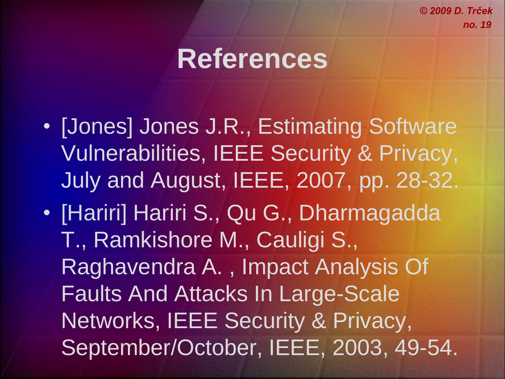### **References**

- [Jones] Jones J.R., Estimating Software Vulnerabilities, IEEE Security & Privacy, July and August, IEEE, 2007, pp. 28-32.
- [Hariri] Hariri S., Qu G., Dharmagadda T., Ramkishore M., Cauligi S., Raghavendra A. , Impact Analysis Of Faults And Attacks In Large-Scale Networks, IEEE Security & Privacy, September/October, IEEE, 2003, 49-54.